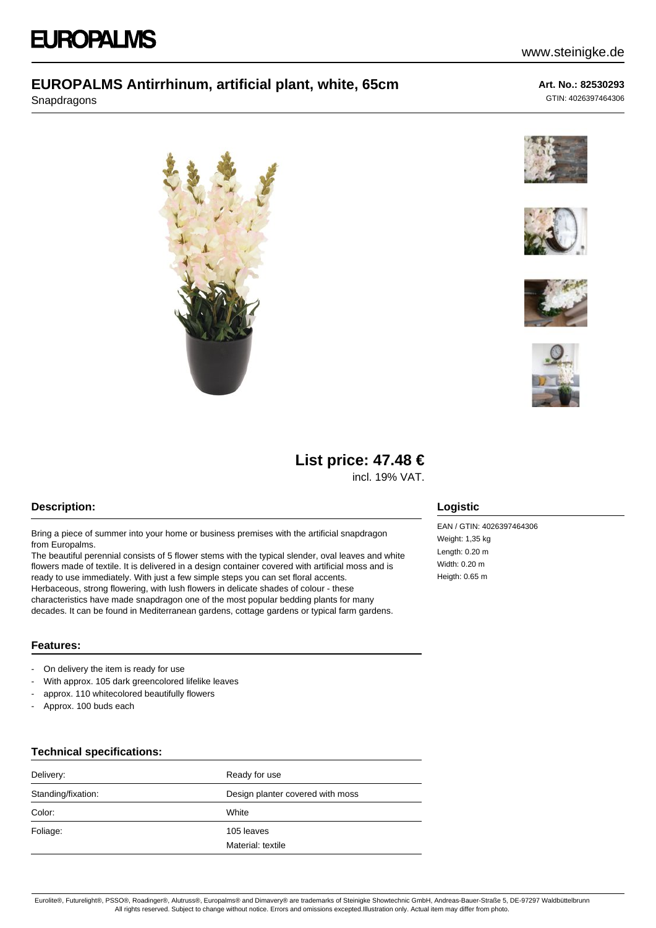Snapdragons

## **Art. No.: 82530293**

www.steinigke.de

GTIN: 4026397464306











# **List price: 47.48 €**

incl. 19% VAT.

## **Description:**

Bring a piece of summer into your home or business premises with the artificial snapdragon from Europalms.

The beautiful perennial consists of 5 flower stems with the typical slender, oval leaves and white flowers made of textile. It is delivered in a design container covered with artificial moss and is ready to use immediately. With just a few simple steps you can set floral accents. Herbaceous, strong flowering, with lush flowers in delicate shades of colour - these characteristics have made snapdragon one of the most popular bedding plants for many decades. It can be found in Mediterranean gardens, cottage gardens or typical farm gardens.

# **Logistic**

EAN / GTIN: 4026397464306 Weight: 1,35 kg Length: 0.20 m Width: 0.20 m Heigth: 0.65 m

### **Features:**

- On delivery the item is ready for use
- With approx. 105 dark greencolored lifelike leaves
- approx. 110 whitecolored beautifully flowers
- Approx. 100 buds each

#### **Technical specifications:**

| Delivery:          | Ready for use                    |
|--------------------|----------------------------------|
| Standing/fixation: | Design planter covered with moss |
| Color:             | White                            |
| Foliage:           | 105 leaves<br>Material: textile  |

Eurolite®, Futurelight®, PSSO®, Roadinger®, Alutruss®, Europalms® and Dimavery® are trademarks of Steinigke Showtechnic GmbH, Andreas-Bauer-Straße 5, DE-97297 Waldbüttelbrunn All rights reserved. Subject to change without notice. Errors and omissions excepted.Illustration only. Actual item may differ from photo.